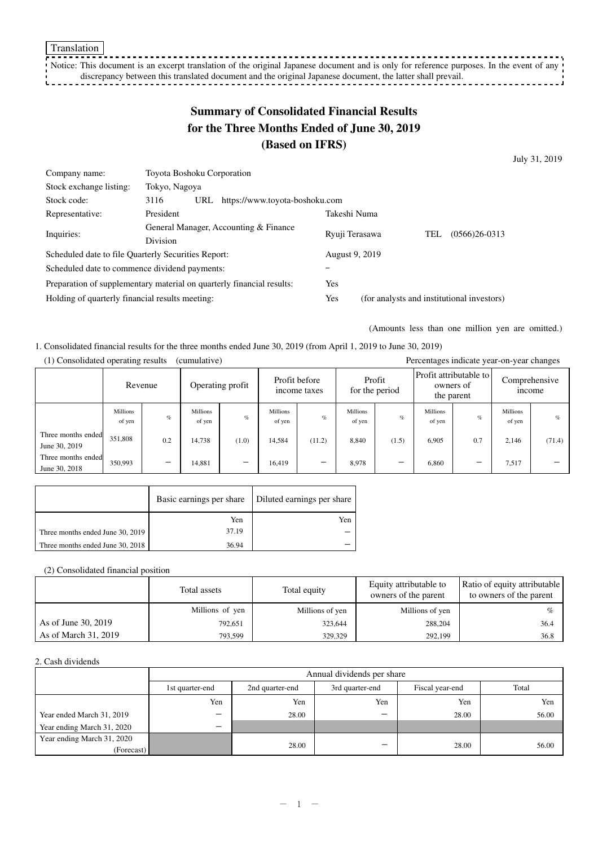Notice: This document is an excerpt translation of the original Japanese document and is only for reference purposes. In the event of any  $\cdot$ discrepancy between this translated document and the original Japanese document, the latter shall prevail.  $- - - 1$ 

# **Summary of Consolidated Financial Results for the Three Months Ended of June 30, 2019 (Based on IFRS)**

July 31, 2019

| Company name:                                                         | Toyota Boshoku Corporation                    |                |                                            |     |                 |  |
|-----------------------------------------------------------------------|-----------------------------------------------|----------------|--------------------------------------------|-----|-----------------|--|
| Stock exchange listing:                                               | Tokyo, Nagoya                                 |                |                                            |     |                 |  |
| Stock code:                                                           | https://www.toyota-boshoku.com<br>3116<br>URL |                |                                            |     |                 |  |
| Representative:                                                       | President                                     | Takeshi Numa   |                                            |     |                 |  |
| Inquiries:                                                            | General Manager, Accounting & Finance         | Ryuji Terasawa |                                            | TEL | $(0566)26-0313$ |  |
|                                                                       | <b>Division</b>                               |                |                                            |     |                 |  |
| Scheduled date to file Quarterly Securities Report:                   |                                               | August 9, 2019 |                                            |     |                 |  |
| Scheduled date to commence dividend payments:                         |                                               |                |                                            |     |                 |  |
| Preparation of supplementary material on quarterly financial results: |                                               | Yes            |                                            |     |                 |  |
| Holding of quarterly financial results meeting:                       |                                               | Yes            | (for analysts and institutional investors) |     |                 |  |

(Amounts less than one million yen are omitted.)

#### 1. Consolidated financial results for the three months ended June 30, 2019 (from April 1, 2019 to June 30, 2019) (1) Consolidated operating results (cumulative) Percentages indicate year-on-year changes

|                                     | 1) Consondated operating results<br>$(c$ umurative)<br>Percentages indicate year-on-year changes |      |                    |                                   |                    |                                          |                           |       |                    |                                                   |                           |        |                                |
|-------------------------------------|--------------------------------------------------------------------------------------------------|------|--------------------|-----------------------------------|--------------------|------------------------------------------|---------------------------|-------|--------------------|---------------------------------------------------|---------------------------|--------|--------------------------------|
|                                     | Revenue                                                                                          |      |                    | Profit before<br>Operating profit |                    | Profit<br>for the period<br>income taxes |                           |       |                    | Profit attributable to<br>owners of<br>the parent |                           |        | Comprehensive<br><i>n</i> come |
|                                     | <b>Millions</b><br>of yen                                                                        | $\%$ | Millions<br>of yen | $\mathcal{O}'_0$                  | Millions<br>of yen | $\%$                                     | <b>Millions</b><br>of yen | $\%$  | Millions<br>of yen | $\%$                                              | <b>Millions</b><br>of yen | $\%$   |                                |
| Three months ended<br>June 30, 2019 | 351,808                                                                                          | 0.2  | 14,738             | (1.0)                             | 14.584             | (11.2)                                   | 8,840                     | (1.5) | 6,905              | 0.7                                               | 2,146                     | (71.4) |                                |
| Three months ended<br>June 30, 2018 | 350.993                                                                                          | —    | 14.881             |                                   | 16.419             | –                                        | 8,978                     |       | 6,860              |                                                   | 7,517                     |        |                                |

|                                  |       | Basic earnings per share   Diluted earnings per share |
|----------------------------------|-------|-------------------------------------------------------|
|                                  | Yen   | Yen                                                   |
| Three months ended June 30, 2019 | 37.19 |                                                       |
| Three months ended June 30, 2018 | 36.94 |                                                       |

(2) Consolidated financial position

|                      | Total assets    | Total equity    | Equity attributable to<br>owners of the parent | Ratio of equity attributable<br>to owners of the parent |
|----------------------|-----------------|-----------------|------------------------------------------------|---------------------------------------------------------|
|                      | Millions of yen | Millions of yen | Millions of yen                                | $\%$                                                    |
| As of June 30, 2019  | 792,651         | 323,644         | 288,204                                        | 36.4                                                    |
| As of March 31, 2019 | 793.599         | 329,329         | 292.199                                        | 36.8                                                    |

#### 2. Cash dividends

|                            | Annual dividends per share |                 |                 |                 |       |  |  |  |
|----------------------------|----------------------------|-----------------|-----------------|-----------------|-------|--|--|--|
|                            | 1st quarter-end            | 2nd quarter-end | 3rd quarter-end | Fiscal year-end | Total |  |  |  |
|                            | Yen                        | Yen             | Yen             | Yen             | Yen   |  |  |  |
| Year ended March 31, 2019  | -                          | 28.00           | -               | 28.00           | 56.00 |  |  |  |
| Year ending March 31, 2020 | -                          |                 |                 |                 |       |  |  |  |
| Year ending March 31, 2020 |                            |                 | _               |                 |       |  |  |  |
| (Forecast)                 |                            | 28.00           |                 | 28.00           | 56.00 |  |  |  |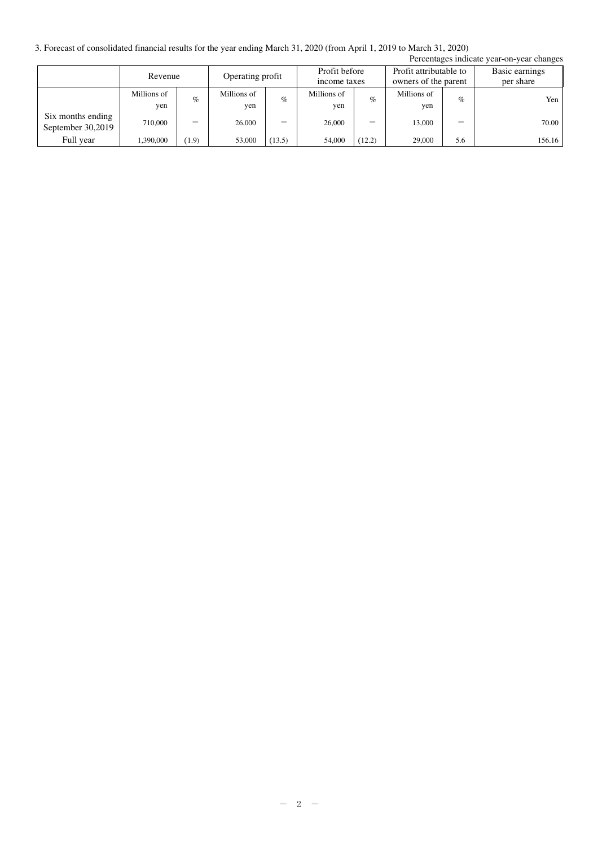3. Forecast of consolidated financial results for the year ending March 31, 2020 (from April 1, 2019 to March 31, 2020)

| Percentages indicate year-on-year changes |             |         |             |                  |             |               |                      |                        |                |
|-------------------------------------------|-------------|---------|-------------|------------------|-------------|---------------|----------------------|------------------------|----------------|
|                                           |             | Revenue |             | Operating profit |             | Profit before |                      | Profit attributable to | Basic earnings |
|                                           |             |         |             |                  |             | income taxes  | owners of the parent |                        | per share      |
|                                           | Millions of | $\%$    | Millions of | $\%$             | Millions of | $\%$          | Millions of          | $\%$                   | Yen            |
|                                           | yen         |         | yen         |                  | yen         |               | yen                  |                        |                |
| Six months ending                         | 710,000     | -       | 26,000      |                  | 26,000      | _             | 13,000               |                        | 70.00          |
| September 30,2019                         |             |         |             |                  |             |               |                      |                        |                |
| Full year                                 | 1,390,000   | (1.9)   | 53,000      | (13.5)           | 54,000      | (12.2)        | 29,000               | 5.6                    | 156.16         |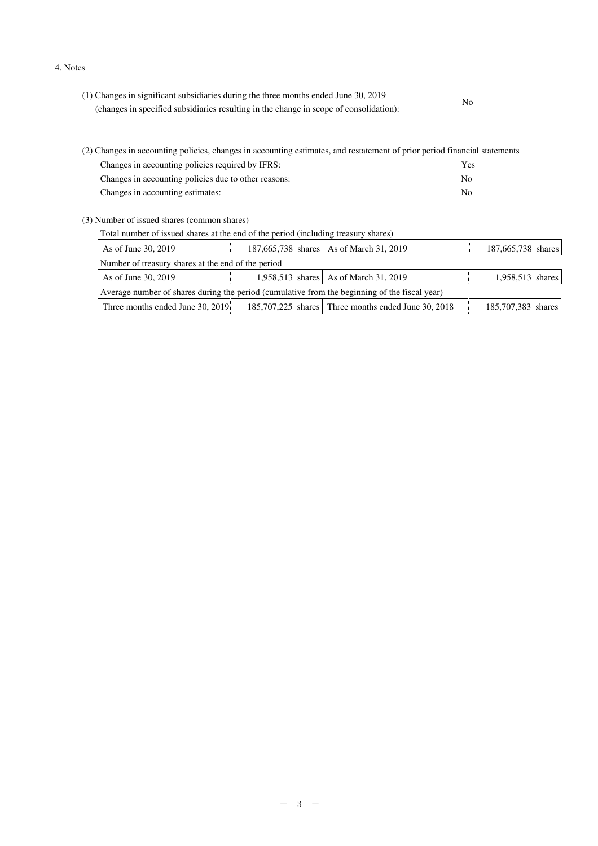#### 4. Notes

| (1) Changes in significant subsidiaries during the three months ended June 30, 2019    | No |  |
|----------------------------------------------------------------------------------------|----|--|
| (changes in specified subsidiaries resulting in the change in scope of consolidation): |    |  |
|                                                                                        |    |  |
|                                                                                        |    |  |

| (2) Changes in accounting policies, changes in accounting estimates, and restatement of prior period financial statements |     |
|---------------------------------------------------------------------------------------------------------------------------|-----|
| Changes in accounting policies required by IFRS:                                                                          | Yes |
| Changes in accounting policies due to other reasons:                                                                      | No  |
| Changes in accounting estimates:                                                                                          | No. |
|                                                                                                                           |     |

(3) Number of issued shares (common shares)

| Total number of issued shares at the end of the period (including treasury shares) |  |
|------------------------------------------------------------------------------------|--|
|                                                                                    |  |

| As of June 30, 2019                                                                           |  | 187,665,738 shares   As of March 31, 2019           |  | 187,665,738 shares |  |  |
|-----------------------------------------------------------------------------------------------|--|-----------------------------------------------------|--|--------------------|--|--|
| Number of treasury shares at the end of the period                                            |  |                                                     |  |                    |  |  |
| As of June 30, 2019                                                                           |  | 1,958,513 shares As of March 31, 2019               |  | 1,958,513 shares   |  |  |
| Average number of shares during the period (cumulative from the beginning of the fiscal year) |  |                                                     |  |                    |  |  |
| Three months ended June 30, 2019                                                              |  | 185,707,225 shares Three months ended June 30, 2018 |  | 185,707,383 shares |  |  |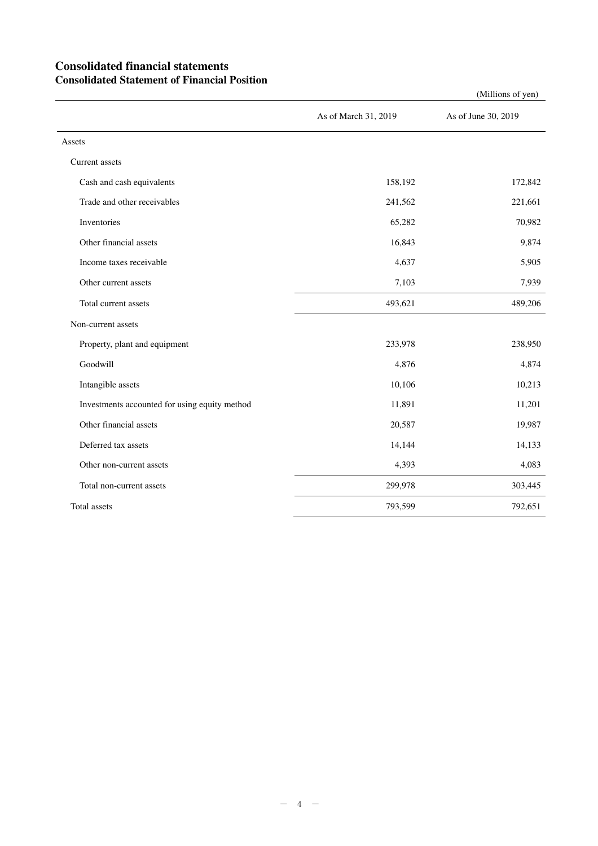## **Consolidated financial statements Consolidated Statement of Financial Position**

|                                               |                      | $($ whinons or $y$ cii) |
|-----------------------------------------------|----------------------|-------------------------|
|                                               | As of March 31, 2019 | As of June 30, 2019     |
| Assets                                        |                      |                         |
| Current assets                                |                      |                         |
| Cash and cash equivalents                     | 158,192              | 172,842                 |
| Trade and other receivables                   | 241,562              | 221,661                 |
| Inventories                                   | 65,282               | 70,982                  |
| Other financial assets                        | 16,843               | 9,874                   |
| Income taxes receivable                       | 4,637                | 5,905                   |
| Other current assets                          | 7,103                | 7,939                   |
| Total current assets                          | 493,621              | 489,206                 |
| Non-current assets                            |                      |                         |
| Property, plant and equipment                 | 233,978              | 238,950                 |
| Goodwill                                      | 4,876                | 4,874                   |
| Intangible assets                             | 10,106               | 10,213                  |
| Investments accounted for using equity method | 11,891               | 11,201                  |
| Other financial assets                        | 20,587               | 19,987                  |
| Deferred tax assets                           | 14,144               | 14,133                  |
| Other non-current assets                      | 4,393                | 4,083                   |
| Total non-current assets                      | 299,978              | 303,445                 |
| Total assets                                  | 793,599              | 792,651                 |

(Millions of yen)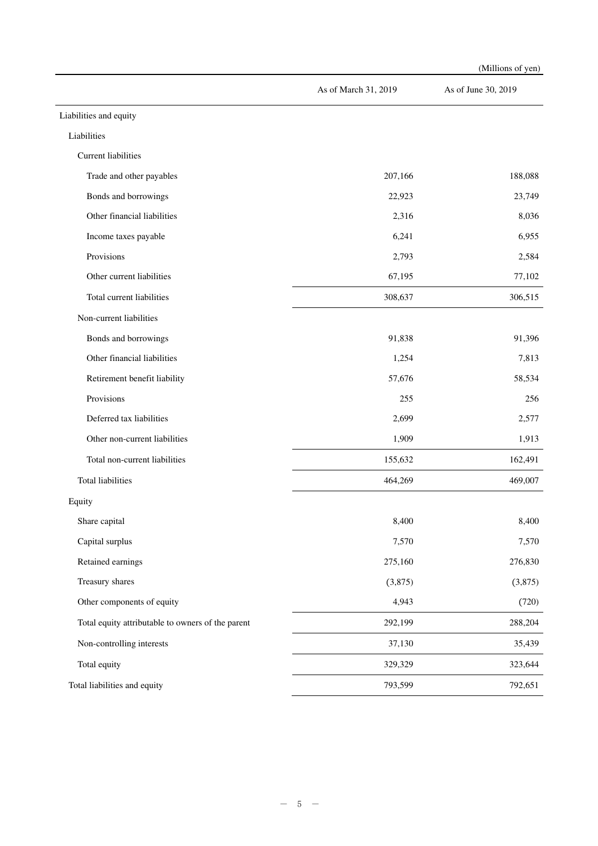|                                                   |                      | (Millions of yen)   |
|---------------------------------------------------|----------------------|---------------------|
|                                                   | As of March 31, 2019 | As of June 30, 2019 |
| Liabilities and equity                            |                      |                     |
| Liabilities                                       |                      |                     |
| Current liabilities                               |                      |                     |
| Trade and other payables                          | 207,166              | 188,088             |
| Bonds and borrowings                              | 22,923               | 23,749              |
| Other financial liabilities                       | 2,316                | 8,036               |
| Income taxes payable                              | 6,241                | 6,955               |
| Provisions                                        | 2,793                | 2,584               |
| Other current liabilities                         | 67,195               | 77,102              |
| Total current liabilities                         | 308,637              | 306,515             |
| Non-current liabilities                           |                      |                     |
| Bonds and borrowings                              | 91,838               | 91,396              |
| Other financial liabilities                       | 1,254                | 7,813               |
| Retirement benefit liability                      | 57,676               | 58,534              |
| Provisions                                        | 255                  | 256                 |
| Deferred tax liabilities                          | 2,699                | 2,577               |
| Other non-current liabilities                     | 1,909                | 1,913               |
| Total non-current liabilities                     | 155,632              | 162,491             |
| <b>Total liabilities</b>                          | 464,269              | 469,007             |
| Equity                                            |                      |                     |
| Share capital                                     | 8,400                | 8,400               |
| Capital surplus                                   | 7,570                | 7,570               |
| Retained earnings                                 | 275,160              | 276,830             |
| Treasury shares                                   | (3,875)              | (3,875)             |
| Other components of equity                        | 4,943                | (720)               |
| Total equity attributable to owners of the parent | 292,199              | 288,204             |
| Non-controlling interests                         | 37,130               | 35,439              |
| Total equity                                      | 329,329              | 323,644             |
| Total liabilities and equity                      | 793,599              | 792,651             |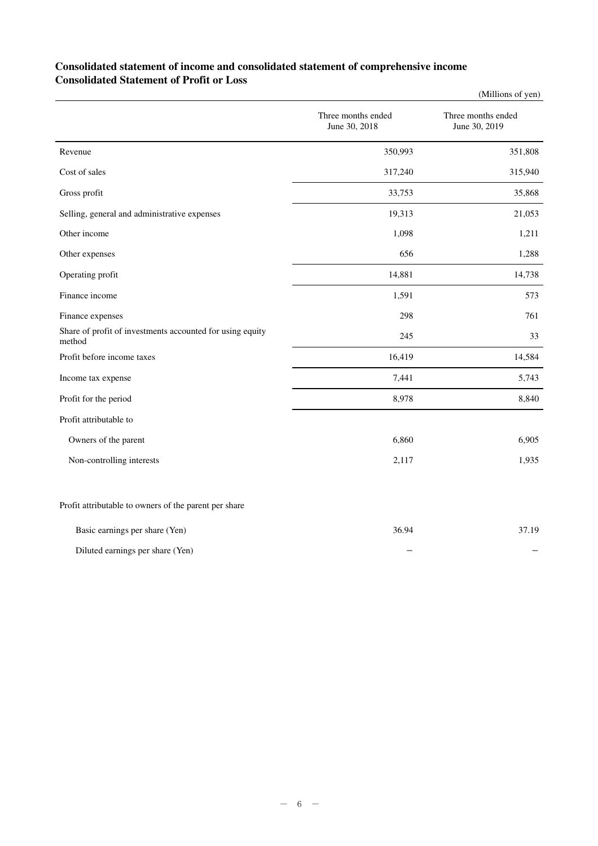## **Consolidated statement of income and consolidated statement of comprehensive income Consolidated Statement of Profit or Loss**

|                                                                     |                                     | (Millions of yen)                   |
|---------------------------------------------------------------------|-------------------------------------|-------------------------------------|
|                                                                     | Three months ended<br>June 30, 2018 | Three months ended<br>June 30, 2019 |
| Revenue                                                             | 350,993                             | 351,808                             |
| Cost of sales                                                       | 317,240                             | 315,940                             |
| Gross profit                                                        | 33,753                              | 35,868                              |
| Selling, general and administrative expenses                        | 19,313                              | 21,053                              |
| Other income                                                        | 1,098                               | 1,211                               |
| Other expenses                                                      | 656                                 | 1,288                               |
| Operating profit                                                    | 14,881                              | 14,738                              |
| Finance income                                                      | 1,591                               | 573                                 |
| Finance expenses                                                    | 298                                 | 761                                 |
| Share of profit of investments accounted for using equity<br>method | 245                                 | 33                                  |
| Profit before income taxes                                          | 16,419                              | 14,584                              |
| Income tax expense                                                  | 7,441                               | 5,743                               |
| Profit for the period                                               | 8,978                               | 8,840                               |
| Profit attributable to                                              |                                     |                                     |
| Owners of the parent                                                | 6,860                               | 6,905                               |
| Non-controlling interests                                           | 2,117                               | 1,935                               |
| Profit attributable to owners of the parent per share               |                                     |                                     |

| Basic earnings per share (Yen)   | 36.94 | 37.19 |
|----------------------------------|-------|-------|
| Diluted earnings per share (Yen) |       |       |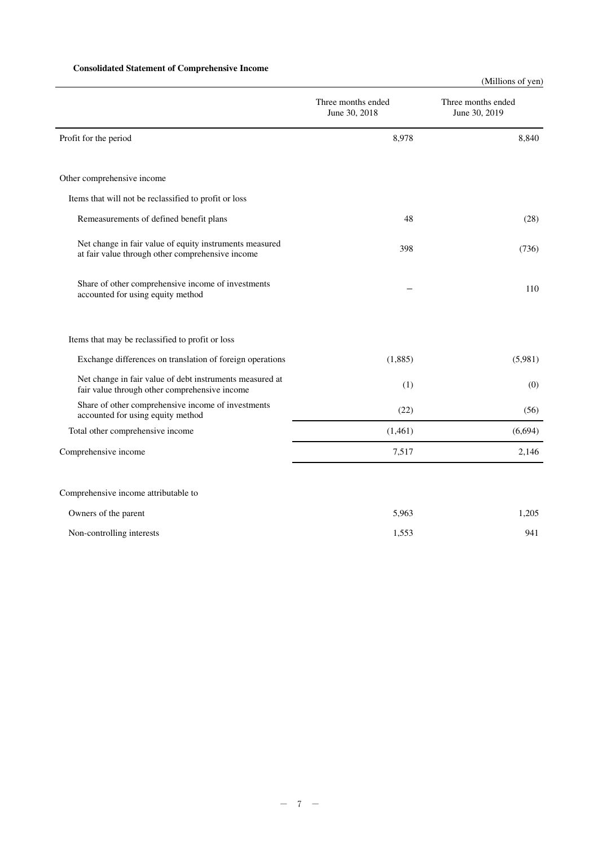### **Consolidated Statement of Comprehensive Income**

(Millions of yen)

|                                                                                                             | Three months ended<br>June 30, 2018 | Three months ended<br>June 30, 2019 |
|-------------------------------------------------------------------------------------------------------------|-------------------------------------|-------------------------------------|
| Profit for the period                                                                                       | 8,978                               | 8,840                               |
| Other comprehensive income                                                                                  |                                     |                                     |
| Items that will not be reclassified to profit or loss                                                       |                                     |                                     |
| Remeasurements of defined benefit plans                                                                     | 48                                  | (28)                                |
| Net change in fair value of equity instruments measured<br>at fair value through other comprehensive income | 398                                 | (736)                               |
| Share of other comprehensive income of investments<br>accounted for using equity method                     |                                     | 110                                 |
| Items that may be reclassified to profit or loss                                                            |                                     |                                     |
| Exchange differences on translation of foreign operations                                                   | (1,885)                             | (5,981)                             |
| Net change in fair value of debt instruments measured at<br>fair value through other comprehensive income   | (1)                                 | (0)                                 |
| Share of other comprehensive income of investments<br>accounted for using equity method                     | (22)                                | (56)                                |
| Total other comprehensive income                                                                            | (1,461)                             | (6,694)                             |
| Comprehensive income                                                                                        | 7,517                               | 2,146                               |
| Comprehensive income attributable to                                                                        |                                     |                                     |
| Owners of the parent                                                                                        | 5,963                               | 1,205                               |
| Non-controlling interests                                                                                   | 1,553                               | 941                                 |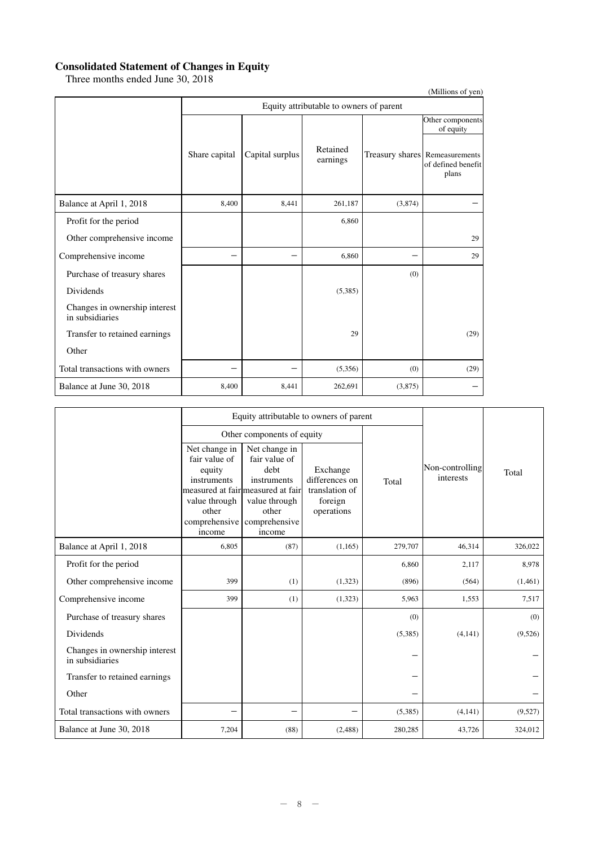### **Consolidated Statement of Changes in Equity**

Three months ended June 30, 2018

| Three months ended sune 50, 2010                 |               |                                         |                      |         | (Millions of yen)                                             |  |  |  |
|--------------------------------------------------|---------------|-----------------------------------------|----------------------|---------|---------------------------------------------------------------|--|--|--|
|                                                  |               | Equity attributable to owners of parent |                      |         |                                                               |  |  |  |
|                                                  |               |                                         |                      |         | Other components<br>of equity                                 |  |  |  |
|                                                  | Share capital | Capital surplus                         | Retained<br>earnings |         | Treasury shares Remeasurements<br>of defined benefit<br>plans |  |  |  |
| Balance at April 1, 2018                         | 8,400         | 8.441                                   | 261,187              | (3,874) |                                                               |  |  |  |
| Profit for the period                            |               |                                         | 6,860                |         |                                                               |  |  |  |
| Other comprehensive income                       |               |                                         |                      |         | 29                                                            |  |  |  |
| Comprehensive income                             |               |                                         | 6,860                |         | 29                                                            |  |  |  |
| Purchase of treasury shares                      |               |                                         |                      | (0)     |                                                               |  |  |  |
| Dividends                                        |               |                                         | (5,385)              |         |                                                               |  |  |  |
| Changes in ownership interest<br>in subsidiaries |               |                                         |                      |         |                                                               |  |  |  |
| Transfer to retained earnings                    |               |                                         | 29                   |         | (29)                                                          |  |  |  |
| Other                                            |               |                                         |                      |         |                                                               |  |  |  |
| Total transactions with owners                   |               |                                         | (5,356)              | (0)     | (29)                                                          |  |  |  |
| Balance at June 30, 2018                         | 8,400         | 8,441                                   | 262,691              | (3,875) |                                                               |  |  |  |

|                                                  |                                                                                                              | Equity attributable to owners of parent                                                                                                         |                                                                       |         |                              |         |  |
|--------------------------------------------------|--------------------------------------------------------------------------------------------------------------|-------------------------------------------------------------------------------------------------------------------------------------------------|-----------------------------------------------------------------------|---------|------------------------------|---------|--|
|                                                  |                                                                                                              | Other components of equity                                                                                                                      |                                                                       |         |                              |         |  |
|                                                  | Net change in<br>fair value of<br>equity<br>instruments<br>value through<br>other<br>comprehensive<br>income | Net change in<br>fair value of<br>debt<br>instruments<br>measured at fair measured at fair<br>value through<br>other<br>comprehensive<br>income | Exchange<br>differences on<br>translation of<br>foreign<br>operations | Total   | Non-controlling<br>interests | Total   |  |
| Balance at April 1, 2018                         | 6,805                                                                                                        | (87)                                                                                                                                            | (1,165)                                                               | 279,707 | 46,314                       | 326,022 |  |
| Profit for the period                            |                                                                                                              |                                                                                                                                                 |                                                                       | 6,860   | 2,117                        | 8,978   |  |
| Other comprehensive income                       | 399                                                                                                          | (1)                                                                                                                                             | (1,323)                                                               | (896)   | (564)                        | (1,461) |  |
| Comprehensive income                             | 399                                                                                                          | (1)                                                                                                                                             | (1,323)                                                               | 5,963   | 1.553                        | 7,517   |  |
| Purchase of treasury shares                      |                                                                                                              |                                                                                                                                                 |                                                                       | (0)     |                              | (0)     |  |
| Dividends                                        |                                                                                                              |                                                                                                                                                 |                                                                       | (5,385) | (4,141)                      | (9,526) |  |
| Changes in ownership interest<br>in subsidiaries |                                                                                                              |                                                                                                                                                 |                                                                       |         |                              |         |  |
| Transfer to retained earnings                    |                                                                                                              |                                                                                                                                                 |                                                                       |         |                              |         |  |
| Other                                            |                                                                                                              |                                                                                                                                                 |                                                                       |         |                              |         |  |
| Total transactions with owners                   |                                                                                                              | -                                                                                                                                               |                                                                       | (5,385) | (4,141)                      | (9,527) |  |
| Balance at June 30, 2018                         | 7,204                                                                                                        | (88)                                                                                                                                            | (2,488)                                                               | 280,285 | 43,726                       | 324,012 |  |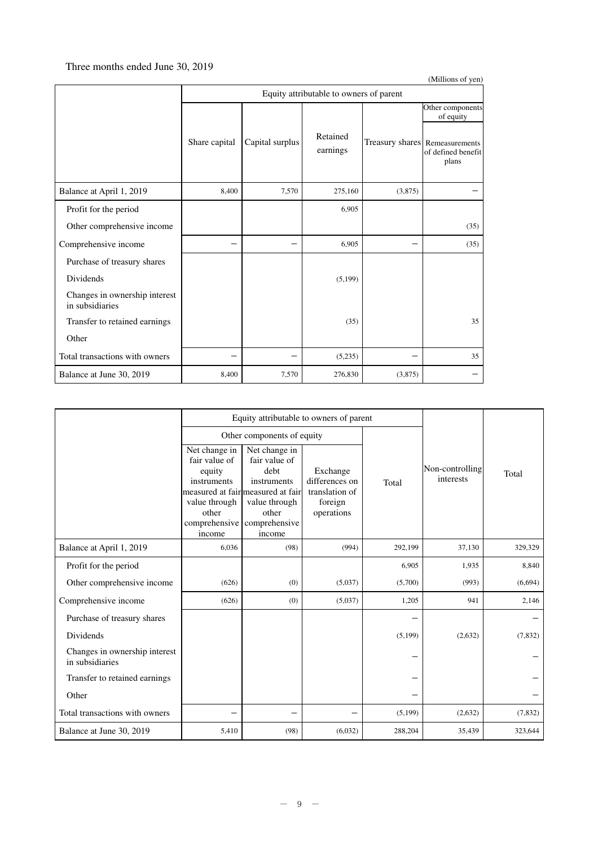### Three months ended June 30, 2019

|                                                  |               |                                         |                      |         | (Millions of yen)                                             |  |  |  |  |
|--------------------------------------------------|---------------|-----------------------------------------|----------------------|---------|---------------------------------------------------------------|--|--|--|--|
|                                                  |               | Equity attributable to owners of parent |                      |         |                                                               |  |  |  |  |
|                                                  |               |                                         |                      |         | Other components<br>of equity                                 |  |  |  |  |
|                                                  | Share capital | Capital surplus                         | Retained<br>earnings |         | Treasury shares Remeasurements<br>of defined benefit<br>plans |  |  |  |  |
| Balance at April 1, 2019                         | 8,400         | 7,570                                   | 275,160              | (3,875) |                                                               |  |  |  |  |
| Profit for the period                            |               |                                         | 6,905                |         |                                                               |  |  |  |  |
| Other comprehensive income                       |               |                                         |                      |         | (35)                                                          |  |  |  |  |
| Comprehensive income                             |               |                                         | 6,905                |         | (35)                                                          |  |  |  |  |
| Purchase of treasury shares                      |               |                                         |                      |         |                                                               |  |  |  |  |
| Dividends                                        |               |                                         | (5,199)              |         |                                                               |  |  |  |  |
| Changes in ownership interest<br>in subsidiaries |               |                                         |                      |         |                                                               |  |  |  |  |
| Transfer to retained earnings                    |               |                                         | (35)                 |         | 35                                                            |  |  |  |  |
| Other                                            |               |                                         |                      |         |                                                               |  |  |  |  |
| Total transactions with owners                   |               |                                         | (5,235)              |         | 35                                                            |  |  |  |  |
| Balance at June 30, 2019                         | 8,400         | 7,570                                   | 276,830              | (3,875) |                                                               |  |  |  |  |

|                                                  |                                                                                                              | Equity attributable to owners of parent                                                                                                         |                                                                       |         |                              |         |  |
|--------------------------------------------------|--------------------------------------------------------------------------------------------------------------|-------------------------------------------------------------------------------------------------------------------------------------------------|-----------------------------------------------------------------------|---------|------------------------------|---------|--|
|                                                  |                                                                                                              | Other components of equity                                                                                                                      |                                                                       |         |                              |         |  |
|                                                  | Net change in<br>fair value of<br>equity<br>instruments<br>value through<br>other<br>comprehensive<br>income | Net change in<br>fair value of<br>debt<br>instruments<br>measured at fair measured at fair<br>value through<br>other<br>comprehensive<br>income | Exchange<br>differences on<br>translation of<br>foreign<br>operations | Total   | Non-controlling<br>interests | Total   |  |
| Balance at April 1, 2019                         | 6,036                                                                                                        | (98)                                                                                                                                            | (994)                                                                 | 292,199 | 37,130                       | 329,329 |  |
| Profit for the period                            |                                                                                                              |                                                                                                                                                 |                                                                       | 6,905   | 1,935                        | 8,840   |  |
| Other comprehensive income                       | (626)                                                                                                        | (0)                                                                                                                                             | (5,037)                                                               | (5,700) | (993)                        | (6,694) |  |
| Comprehensive income                             | (626)                                                                                                        | (0)                                                                                                                                             | (5,037)                                                               | 1,205   | 941                          | 2,146   |  |
| Purchase of treasury shares                      |                                                                                                              |                                                                                                                                                 |                                                                       |         |                              |         |  |
| <b>Dividends</b>                                 |                                                                                                              |                                                                                                                                                 |                                                                       | (5,199) | (2,632)                      | (7,832) |  |
| Changes in ownership interest<br>in subsidiaries |                                                                                                              |                                                                                                                                                 |                                                                       |         |                              |         |  |
| Transfer to retained earnings                    |                                                                                                              |                                                                                                                                                 |                                                                       |         |                              |         |  |
| Other                                            |                                                                                                              |                                                                                                                                                 |                                                                       |         |                              |         |  |
| Total transactions with owners                   |                                                                                                              |                                                                                                                                                 |                                                                       | (5,199) | (2,632)                      | (7,832) |  |
| Balance at June 30, 2019                         | 5,410                                                                                                        | (98)                                                                                                                                            | (6,032)                                                               | 288,204 | 35,439                       | 323,644 |  |